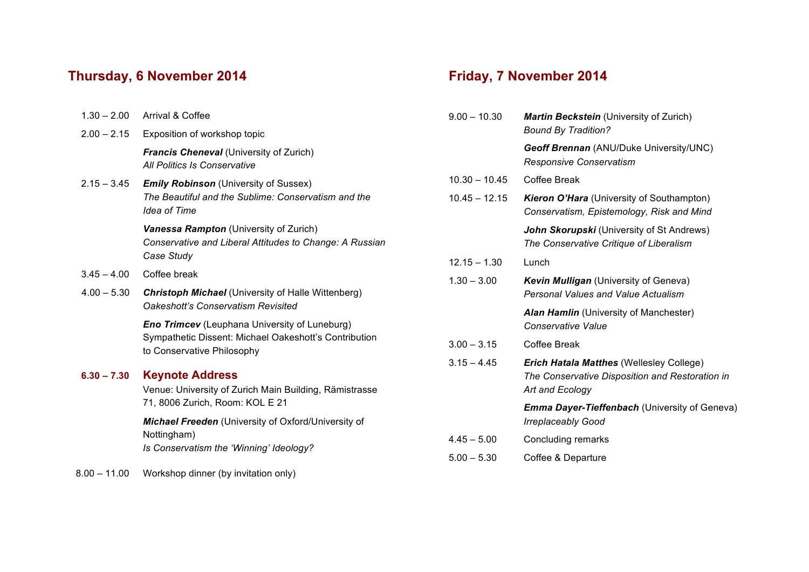## **Thursday, 6 November 2014**

| $1.30 - 2.00$  | Arrival & Coffee                                                                                                                            |
|----------------|---------------------------------------------------------------------------------------------------------------------------------------------|
| $2.00 - 2.15$  | Exposition of workshop topic                                                                                                                |
|                | <b>Francis Cheneval (University of Zurich)</b><br>All Politics Is Conservative                                                              |
| $2.15 - 3.45$  | <b>Emily Robinson</b> (University of Sussex)<br>The Beautiful and the Sublime: Conservatism and the<br><b>Idea of Time</b>                  |
|                | Vanessa Rampton (University of Zurich)<br>Conservative and Liberal Attitudes to Change: A Russian<br>Case Study                             |
| $3.45 - 4.00$  | Coffee break                                                                                                                                |
| $4.00 - 5.30$  | <b>Christoph Michael (University of Halle Wittenberg)</b><br>Oakeshott's Conservatism Revisited                                             |
|                | <b>Eno Trimcev</b> (Leuphana University of Luneburg)<br>Sympathetic Dissent: Michael Oakeshott's Contribution<br>to Conservative Philosophy |
| $6.30 - 7.30$  | <b>Keynote Address</b><br>Venue: University of Zurich Main Building, Rämistrasse<br>71, 8006 Zurich, Room: KOL E 21                         |
|                | Michael Freeden (University of Oxford/University of<br>Nottingham)<br>Is Conservatism the 'Winning' Ideology?                               |
| $8.00 - 11.00$ | Workshop dinner (by invitation only)                                                                                                        |

## **Friday, 7 November 2014**

| $9.00 - 10.30$  | <b>Martin Beckstein</b> (University of Zurich)<br><b>Bound By Tradition?</b>                                          |
|-----------------|-----------------------------------------------------------------------------------------------------------------------|
|                 | Geoff Brennan (ANU/Duke University/UNC)<br>Responsive Conservatism                                                    |
| $10.30 - 10.45$ | Coffee Break                                                                                                          |
| $10.45 - 12.15$ | <b>Kieron O'Hara</b> (University of Southampton)<br>Conservatism, Epistemology, Risk and Mind                         |
|                 | John Skorupski (University of St Andrews)<br>The Conservative Critique of Liberalism                                  |
| $12.15 - 1.30$  | Lunch                                                                                                                 |
| $1.30 - 3.00$   | <b>Kevin Mulligan</b> (University of Geneva)<br><b>Personal Values and Value Actualism</b>                            |
|                 | Alan Hamlin (University of Manchester)<br>Conservative Value                                                          |
| $3.00 - 3.15$   | Coffee Break                                                                                                          |
| $3.15 - 4.45$   | <b>Erich Hatala Matthes (Wellesley College)</b><br>The Conservative Disposition and Restoration in<br>Art and Ecology |
|                 | <b>Emma Dayer-Tieffenbach (University of Geneva)</b><br><b>Irreplaceably Good</b>                                     |
| $4.45 - 5.00$   | Concluding remarks                                                                                                    |
| $5.00 - 5.30$   | Coffee & Departure                                                                                                    |